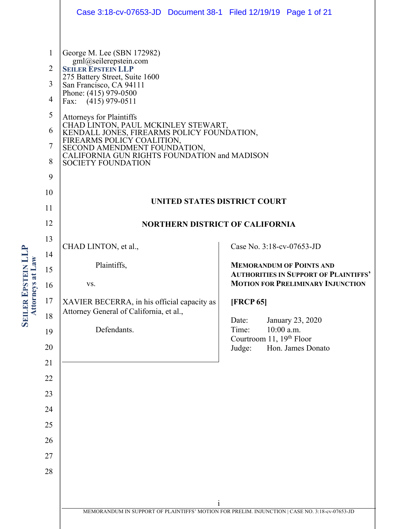|                                                                                                   | Case 3:18-cv-07653-JD  Document 38-1  Filed 12/19/19  Page 1 of 21                                                                                                                                                                                                                                                                                                                                                                                              |                                                                                          |
|---------------------------------------------------------------------------------------------------|-----------------------------------------------------------------------------------------------------------------------------------------------------------------------------------------------------------------------------------------------------------------------------------------------------------------------------------------------------------------------------------------------------------------------------------------------------------------|------------------------------------------------------------------------------------------|
| $\mathbf{1}$<br>$\overline{2}$<br>3<br>$\overline{4}$<br>5<br>6<br>$\overline{7}$<br>8<br>9<br>10 | George M. Lee (SBN 172982)<br>gml@seilerepstein.com<br><b>SEILER EPSTEIN LLP</b><br>275 Battery Street, Suite 1600<br>San Francisco, CA 94111<br>Phone: (415) 979-0500<br>Fax: $(415)$ 979-0511<br><b>Attorneys for Plaintiffs</b><br>CHAD LINTON, PAUL MCKINLEY STEWART,<br>KENDALL JONES, FIREARMS POLICY FOUNDATION,<br>FIREARMS POLICY COALITION, SECOND AMENDMENT FOUNDATION,<br>CALIFORNIA GUN RIGHTS FOUNDATION and MADISON<br><b>SOCIETY FOUNDATION</b> |                                                                                          |
| 11                                                                                                | UNITED STATES DISTRICT COURT                                                                                                                                                                                                                                                                                                                                                                                                                                    |                                                                                          |
| 12                                                                                                | <b>NORTHERN DISTRICT OF CALIFORNIA</b>                                                                                                                                                                                                                                                                                                                                                                                                                          |                                                                                          |
| 13                                                                                                | CHAD LINTON, et al.,                                                                                                                                                                                                                                                                                                                                                                                                                                            | Case No. 3:18-cv-07653-JD                                                                |
| 14                                                                                                | Plaintiffs,                                                                                                                                                                                                                                                                                                                                                                                                                                                     | <b>MEMORANDUM OF POINTS AND</b>                                                          |
| 15                                                                                                | VS.                                                                                                                                                                                                                                                                                                                                                                                                                                                             | <b>AUTHORITIES IN SUPPORT OF PLAINTIFFS'</b><br><b>MOTION FOR PRELIMINARY INJUNCTION</b> |
| 16<br>17                                                                                          | XAVIER BECERRA, in his official capacity as                                                                                                                                                                                                                                                                                                                                                                                                                     | [FRCP 65]                                                                                |
| 18                                                                                                | Attorney General of California, et al.,                                                                                                                                                                                                                                                                                                                                                                                                                         | Date:<br>January 23, 2020                                                                |
| 19                                                                                                | Defendants.                                                                                                                                                                                                                                                                                                                                                                                                                                                     | $10:00$ a.m.<br>Time:<br>Courtroom 11, 19th Floor                                        |
| 20                                                                                                |                                                                                                                                                                                                                                                                                                                                                                                                                                                                 | Judge:<br>Hon. James Donato                                                              |
| 21                                                                                                |                                                                                                                                                                                                                                                                                                                                                                                                                                                                 |                                                                                          |
| 22                                                                                                |                                                                                                                                                                                                                                                                                                                                                                                                                                                                 |                                                                                          |
| 23                                                                                                |                                                                                                                                                                                                                                                                                                                                                                                                                                                                 |                                                                                          |
| 24<br>25                                                                                          |                                                                                                                                                                                                                                                                                                                                                                                                                                                                 |                                                                                          |
| 26                                                                                                |                                                                                                                                                                                                                                                                                                                                                                                                                                                                 |                                                                                          |
| 27                                                                                                |                                                                                                                                                                                                                                                                                                                                                                                                                                                                 |                                                                                          |
| 28                                                                                                |                                                                                                                                                                                                                                                                                                                                                                                                                                                                 |                                                                                          |
|                                                                                                   |                                                                                                                                                                                                                                                                                                                                                                                                                                                                 |                                                                                          |
|                                                                                                   | $\mathbf{1}$                                                                                                                                                                                                                                                                                                                                                                                                                                                    |                                                                                          |
|                                                                                                   | MEMORANDUM IN SUPPORT OF PLAINTIFFS' MOTION FOR PRELIM. INJUNCTION   CASE NO. 3:18-cv-07653-JD                                                                                                                                                                                                                                                                                                                                                                  |                                                                                          |

**SEILER EPSTEIN LLP**<br>Attorneys at Law **EPSTEIN LLP Attorneys at Law**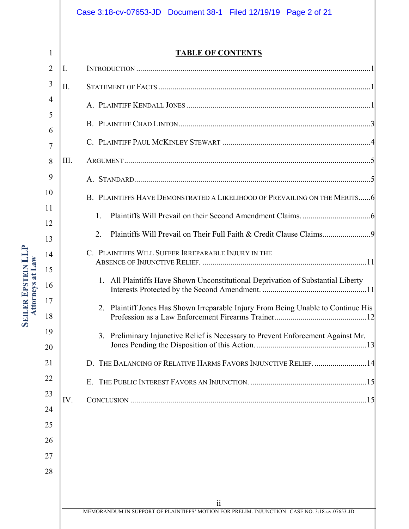## Case 3:18-cv-07653-JD Document 38-1 Filed 12/19/19 Page 2 of 21

1

**SEILER EPSTEIN LLP**<br>Attorneys at Law

**Attorneys at Law**

**EPSTEIN LLP**

**TABLE OF CONTENTS**

| I.   |                                                                                   |
|------|-----------------------------------------------------------------------------------|
| II.  |                                                                                   |
|      |                                                                                   |
|      |                                                                                   |
|      |                                                                                   |
| III. |                                                                                   |
|      |                                                                                   |
|      | B. PLAINTIFFS HAVE DEMONSTRATED A LIKELIHOOD OF PREVAILING ON THE MERITS6         |
|      | 1.                                                                                |
|      | 2.                                                                                |
|      | C. PLAINTIFFS WILL SUFFER IRREPARABLE INJURY IN THE                               |
|      |                                                                                   |
|      | 1. All Plaintiffs Have Shown Unconstitutional Deprivation of Substantial Liberty  |
|      | 2. Plaintiff Jones Has Shown Irreparable Injury From Being Unable to Continue His |
|      | 3. Preliminary Injunctive Relief is Necessary to Prevent Enforcement Against Mr.  |
|      | D. THE BALANCING OF RELATIVE HARMS FAVORS INJUNCTIVE RELIEF14                     |
|      |                                                                                   |
| IV.  |                                                                                   |
|      |                                                                                   |
|      |                                                                                   |
|      |                                                                                   |
|      |                                                                                   |
|      |                                                                                   |
|      | 11                                                                                |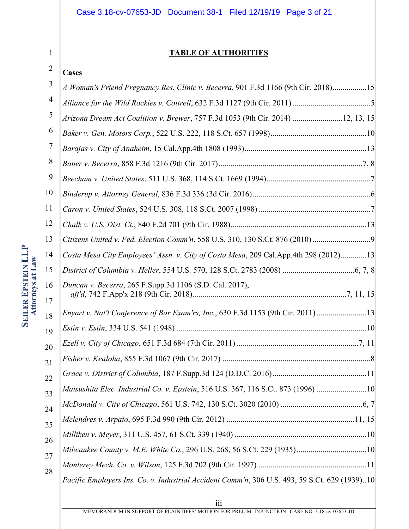## Case 3:18-cv-07653-JD Document 38-1 Filed 12/19/19 Page 3 of 21

## **TABLE OF AUTHORITIES**

# 1 2

| Cases                                                                                |
|--------------------------------------------------------------------------------------|
| A Woman's Friend Pregnancy Res. Clinic v. Becerra, 901 F.3d 1166 (9th Cir. 2018)15   |
|                                                                                      |
| Arizona Dream Act Coalition v. Brewer, 757 F.3d 1053 (9th Cir. 2014) 12, 13, 15      |
|                                                                                      |
|                                                                                      |
|                                                                                      |
|                                                                                      |
|                                                                                      |
|                                                                                      |
|                                                                                      |
| Citizens United v. Fed. Election Comm'n, 558 U.S. 310, 130 S.Ct. 876 (2010)          |
| Costa Mesa City Employees' Assn. v. City of Costa Mesa, 209 Cal.App.4th 298 (2012)13 |
|                                                                                      |
| Duncan v. Becerra, 265 F.Supp.3d 1106 (S.D. Cal. 2017),                              |
| Enyart v. Nat'l Conference of Bar Exam'rs, Inc., 630 F.3d 1153 (9th Cir. 2011) 13    |
|                                                                                      |
|                                                                                      |
|                                                                                      |
|                                                                                      |
| Matsushita Elec. Industrial Co. v. Epstein, 516 U.S. 367, 116 S.Ct. 873 (1996) 10    |
|                                                                                      |
|                                                                                      |
|                                                                                      |
|                                                                                      |
|                                                                                      |
|                                                                                      |
|                                                                                      |

MEMORANDUM IN SUPPORT OF PLAINTIFFS' MOTION FOR PRELIM. INJUNCTION | CASE NO. 3:18-cv-07653-JD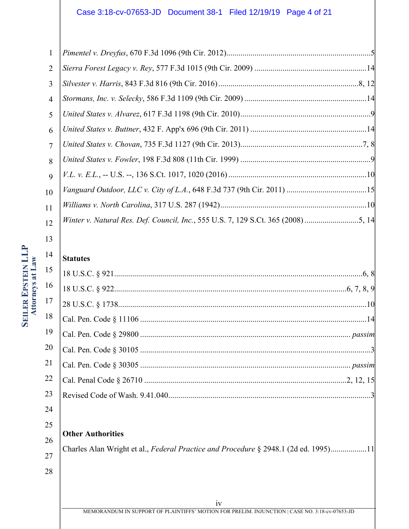| $\mathbf{1}$   |  |
|----------------|--|
| 2              |  |
| 3              |  |
| $\overline{4}$ |  |
| 5              |  |
| 6              |  |
| $\overline{7}$ |  |
| 8              |  |
| $\mathbf Q$    |  |
| 10             |  |
| 11             |  |
| 12             |  |
|                |  |

14

## **Statutes**

| 17 |  |
|----|--|
| 18 |  |
| 19 |  |
| 20 |  |
| 21 |  |
| 22 |  |
| 23 |  |
|    |  |

24

## 25

**Other Authorities**

26

# 27

28

Charles Alan Wright et al., *Federal Practice and Procedure* § 2948.1 (2d ed. 1995)..................11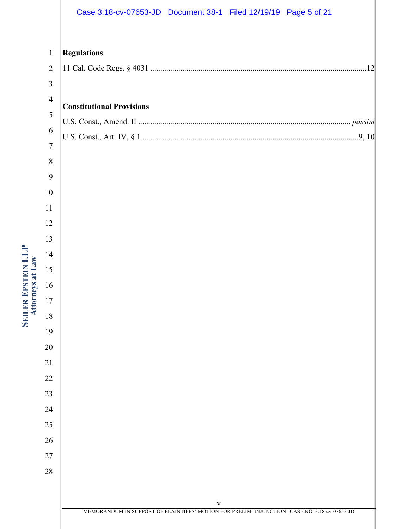|                | Case 3:18-cv-07653-JD  Document 38-1  Filed 12/19/19  Page 5 of 21                                             |
|----------------|----------------------------------------------------------------------------------------------------------------|
|                |                                                                                                                |
| $\mathbf{1}$   | <b>Regulations</b>                                                                                             |
| $\overline{2}$ |                                                                                                                |
| 3              |                                                                                                                |
| $\overline{4}$ | <b>Constitutional Provisions</b>                                                                               |
| 5              |                                                                                                                |
| 6              |                                                                                                                |
| $\tau$         |                                                                                                                |
| $8\,$          |                                                                                                                |
| 9              |                                                                                                                |
| 10             |                                                                                                                |
| 11             |                                                                                                                |
| 12             |                                                                                                                |
| 13             |                                                                                                                |
| 14             |                                                                                                                |
| 15             |                                                                                                                |
| 16             |                                                                                                                |
| 17             |                                                                                                                |
| 18             |                                                                                                                |
| 19             |                                                                                                                |
| 20             |                                                                                                                |
| 21             |                                                                                                                |
| 22             |                                                                                                                |
| 23             |                                                                                                                |
| 24             |                                                                                                                |
| 25             |                                                                                                                |
| 26             |                                                                                                                |
| 27             |                                                                                                                |
| 28             |                                                                                                                |
|                |                                                                                                                |
|                | $\mathbf{V}$<br>MEMORANDUM IN SUPPORT OF PLAINTIFFS' MOTION FOR PRELIM. INJUNCTION   CASE NO. 3:18-cv-07653-JD |

# **SEILER EPSTEIN LLP**<br>Attorneys at Law **EPSTEIN LLP Attorneys at Law**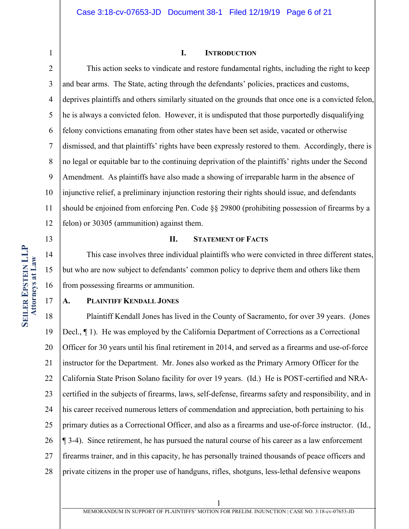## **I. INTRODUCTION**

2 3 4 5 6 7 8 9 10 11 12 This action seeks to vindicate and restore fundamental rights, including the right to keep and bear arms. The State, acting through the defendants' policies, practices and customs, deprives plaintiffs and others similarly situated on the grounds that once one is a convicted felon, he is always a convicted felon. However, it is undisputed that those purportedly disqualifying felony convictions emanating from other states have been set aside, vacated or otherwise dismissed, and that plaintiffs' rights have been expressly restored to them. Accordingly, there is no legal or equitable bar to the continuing deprivation of the plaintiffs' rights under the Second Amendment. As plaintiffs have also made a showing of irreparable harm in the absence of injunctive relief, a preliminary injunction restoring their rights should issue, and defendants should be enjoined from enforcing Pen. Code §§ 29800 (prohibiting possession of firearms by a felon) or 30305 (ammunition) against them.

#### **II. STATEMENT OF FACTS**

This case involves three individual plaintiffs who were convicted in three different states, but who are now subject to defendants' common policy to deprive them and others like them from possessing firearms or ammunition.

#### **A. PLAINTIFF KENDALL JONES**

18 19 20 21 22 23 24 25 26 27 28 Plaintiff Kendall Jones has lived in the County of Sacramento, for over 39 years. (Jones Decl., ¶ 1). He was employed by the California Department of Corrections as a Correctional Officer for 30 years until his final retirement in 2014, and served as a firearms and use-of-force instructor for the Department. Mr. Jones also worked as the Primary Armory Officer for the California State Prison Solano facility for over 19 years. (Id.) He is POST-certified and NRAcertified in the subjects of firearms, laws, self-defense, firearms safety and responsibility, and in his career received numerous letters of commendation and appreciation, both pertaining to his primary duties as a Correctional Officer, and also as a firearms and use-of-force instructor. (Id., ¶ 3-4). Since retirement, he has pursued the natural course of his career as a law enforcement firearms trainer, and in this capacity, he has personally trained thousands of peace officers and private citizens in the proper use of handguns, rifles, shotguns, less-lethal defensive weapons

13

14

15

16

17

MEMORANDUM IN SUPPORT OF PLAINTIFFS' MOTION FOR PRELIM. INJUNCTION | CASE NO. 3:18-cv-07653-JD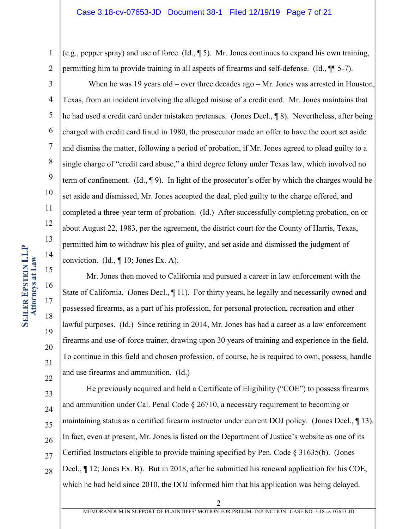1 2 (e.g., pepper spray) and use of force. (Id., ¶ 5). Mr. Jones continues to expand his own training, permitting him to provide training in all aspects of firearms and self-defense. (Id., ¶¶ 5-7).

3

4 5 6 7 8 9 10 11 12 13 When he was 19 years old – over three decades ago – Mr. Jones was arrested in Houston, Texas, from an incident involving the alleged misuse of a credit card. Mr. Jones maintains that he had used a credit card under mistaken pretenses. (Jones Decl., ¶ 8). Nevertheless, after being charged with credit card fraud in 1980, the prosecutor made an offer to have the court set aside and dismiss the matter, following a period of probation, if Mr. Jones agreed to plead guilty to a single charge of "credit card abuse," a third degree felony under Texas law, which involved no term of confinement. (Id.,  $\P$ 9). In light of the prosecutor's offer by which the charges would be set aside and dismissed, Mr. Jones accepted the deal, pled guilty to the charge offered, and completed a three-year term of probation. (Id.) After successfully completing probation, on or about August 22, 1983, per the agreement, the district court for the County of Harris, Texas, permitted him to withdraw his plea of guilty, and set aside and dismissed the judgment of conviction. (Id., ¶ 10; Jones Ex. A).

Mr. Jones then moved to California and pursued a career in law enforcement with the State of California. (Jones Decl., ¶ 11). For thirty years, he legally and necessarily owned and possessed firearms, as a part of his profession, for personal protection, recreation and other lawful purposes. (Id.) Since retiring in 2014, Mr. Jones has had a career as a law enforcement firearms and use-of-force trainer, drawing upon 30 years of training and experience in the field. To continue in this field and chosen profession, of course, he is required to own, possess, handle and use firearms and ammunition. (Id.)

23 24 25 26 27 28 He previously acquired and held a Certificate of Eligibility ("COE") to possess firearms and ammunition under Cal. Penal Code § 26710, a necessary requirement to becoming or maintaining status as a certified firearm instructor under current DOJ policy. (Jones Decl., ¶ 13). In fact, even at present, Mr. Jones is listed on the Department of Justice's website as one of its Certified Instructors eligible to provide training specified by Pen. Code § 31635(b). (Jones Decl., ¶ 12; Jones Ex. B). But in 2018, after he submitted his renewal application for his COE, which he had held since 2010, the DOJ informed him that his application was being delayed.

14

15

16

17

18

19

20

21

22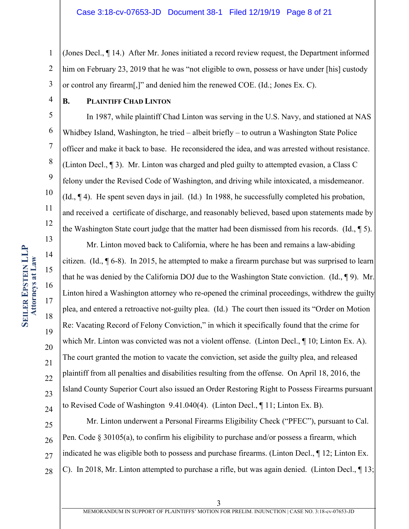1 2 3 (Jones Decl., ¶ 14.) After Mr. Jones initiated a record review request, the Department informed him on February 23, 2019 that he was "not eligible to own, possess or have under [his] custody or control any firearm[,]" and denied him the renewed COE. (Id.; Jones Ex. C).

4 5

6

7

8

9

10

11

12

13

14

15

16

17

18

19

20

21

22

23

24

## **B. PLAINTIFF CHAD LINTON**

In 1987, while plaintiff Chad Linton was serving in the U.S. Navy, and stationed at NAS Whidbey Island, Washington, he tried – albeit briefly – to outrun a Washington State Police officer and make it back to base. He reconsidered the idea, and was arrested without resistance. (Linton Decl., ¶ 3). Mr. Linton was charged and pled guilty to attempted evasion, a Class C felony under the Revised Code of Washington, and driving while intoxicated, a misdemeanor. (Id., ¶ 4). He spent seven days in jail. (Id.) In 1988, he successfully completed his probation, and received a certificate of discharge, and reasonably believed, based upon statements made by the Washington State court judge that the matter had been dismissed from his records. (Id.,  $\P$  5).

Mr. Linton moved back to California, where he has been and remains a law-abiding citizen. (Id.,  $\left[ 6-8 \right)$ . In 2015, he attempted to make a firearm purchase but was surprised to learn that he was denied by the California DOJ due to the Washington State conviction. (Id., ¶ 9). Mr. Linton hired a Washington attorney who re-opened the criminal proceedings, withdrew the guilty plea, and entered a retroactive not-guilty plea. (Id.) The court then issued its "Order on Motion Re: Vacating Record of Felony Conviction," in which it specifically found that the crime for which Mr. Linton was convicted was not a violent offense. (Linton Decl., ¶ 10; Linton Ex. A). The court granted the motion to vacate the conviction, set aside the guilty plea, and released plaintiff from all penalties and disabilities resulting from the offense. On April 18, 2016, the Island County Superior Court also issued an Order Restoring Right to Possess Firearms pursuant to Revised Code of Washington 9.41.040(4). (Linton Decl., ¶ 11; Linton Ex. B).

25 26 27 28 Mr. Linton underwent a Personal Firearms Eligibility Check ("PFEC"), pursuant to Cal. Pen. Code § 30105(a), to confirm his eligibility to purchase and/or possess a firearm, which indicated he was eligible both to possess and purchase firearms. (Linton Decl., ¶ 12; Linton Ex. C). In 2018, Mr. Linton attempted to purchase a rifle, but was again denied. (Linton Decl., ¶ 13;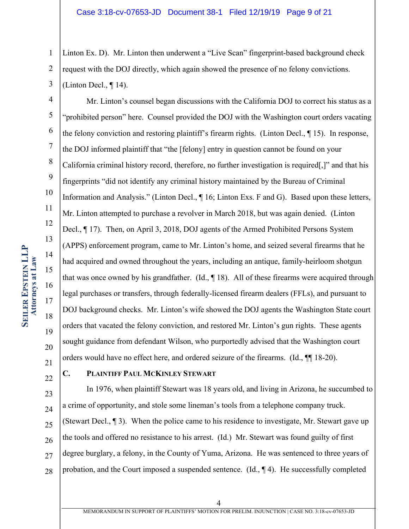1 2 3 Linton Ex. D). Mr. Linton then underwent a "Live Scan" fingerprint-based background check request with the DOJ directly, which again showed the presence of no felony convictions. (Linton Decl., ¶ 14).

4 5 6 7 8 9 10 11 12 13 14 15 16 17 18 19 20 21 Mr. Linton's counsel began discussions with the California DOJ to correct his status as a "prohibited person" here. Counsel provided the DOJ with the Washington court orders vacating the felony conviction and restoring plaintiff's firearm rights. (Linton Decl., ¶ 15). In response, the DOJ informed plaintiff that "the [felony] entry in question cannot be found on your California criminal history record, therefore, no further investigation is required[,]" and that his fingerprints "did not identify any criminal history maintained by the Bureau of Criminal Information and Analysis." (Linton Decl., ¶ 16; Linton Exs. F and G). Based upon these letters, Mr. Linton attempted to purchase a revolver in March 2018, but was again denied. (Linton Decl., ¶ 17). Then, on April 3, 2018, DOJ agents of the Armed Prohibited Persons System (APPS) enforcement program, came to Mr. Linton's home, and seized several firearms that he had acquired and owned throughout the years, including an antique, family-heirloom shotgun that was once owned by his grandfather. (Id., 18). All of these firearms were acquired through legal purchases or transfers, through federally-licensed firearm dealers (FFLs), and pursuant to DOJ background checks. Mr. Linton's wife showed the DOJ agents the Washington State court orders that vacated the felony conviction, and restored Mr. Linton's gun rights. These agents sought guidance from defendant Wilson, who purportedly advised that the Washington court orders would have no effect here, and ordered seizure of the firearms. (Id., ¶¶ 18-20).

22

## **C. PLAINTIFF PAUL MCKINLEY STEWART**

23 24 25 26 27 28 In 1976, when plaintiff Stewart was 18 years old, and living in Arizona, he succumbed to a crime of opportunity, and stole some lineman's tools from a telephone company truck. (Stewart Decl., ¶ 3). When the police came to his residence to investigate, Mr. Stewart gave up the tools and offered no resistance to his arrest. (Id.) Mr. Stewart was found guilty of first degree burglary, a felony, in the County of Yuma, Arizona. He was sentenced to three years of probation, and the Court imposed a suspended sentence. (Id., ¶ 4). He successfully completed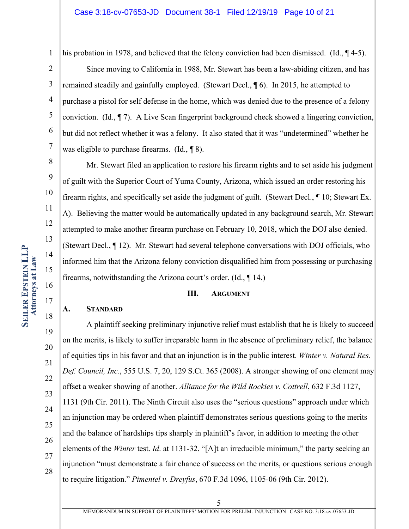8

9

10

11

12

13

14

15

16

17

18

19

20

21

22

23

24

25

26

27

28

his probation in 1978, and believed that the felony conviction had been dismissed. (Id.,  $\P$ 4-5).

2 3 4 5 6 7 Since moving to California in 1988, Mr. Stewart has been a law-abiding citizen, and has remained steadily and gainfully employed. (Stewart Decl., ¶ 6). In 2015, he attempted to purchase a pistol for self defense in the home, which was denied due to the presence of a felony conviction. (Id., ¶ 7). A Live Scan fingerprint background check showed a lingering conviction, but did not reflect whether it was a felony. It also stated that it was "undetermined" whether he was eligible to purchase firearms. (Id., ¶ 8).

Mr. Stewart filed an application to restore his firearm rights and to set aside his judgment of guilt with the Superior Court of Yuma County, Arizona, which issued an order restoring his firearm rights, and specifically set aside the judgment of guilt. (Stewart Decl., ¶ 10; Stewart Ex. A). Believing the matter would be automatically updated in any background search, Mr. Stewart attempted to make another firearm purchase on February 10, 2018, which the DOJ also denied. (Stewart Decl., ¶ 12). Mr. Stewart had several telephone conversations with DOJ officials, who informed him that the Arizona felony conviction disqualified him from possessing or purchasing firearms, notwithstanding the Arizona court's order. (Id., ¶ 14.)

#### **III. ARGUMENT**

#### **A. STANDARD**

A plaintiff seeking preliminary injunctive relief must establish that he is likely to succeed on the merits, is likely to suffer irreparable harm in the absence of preliminary relief, the balance of equities tips in his favor and that an injunction is in the public interest. *Winter v. Natural Res. Def. Council, Inc.*, 555 U.S. 7, 20, 129 S.Ct. 365 (2008). A stronger showing of one element may offset a weaker showing of another. *Alliance for the Wild Rockies v. Cottrell*, 632 F.3d 1127, 1131 (9th Cir. 2011). The Ninth Circuit also uses the "serious questions" approach under which an injunction may be ordered when plaintiff demonstrates serious questions going to the merits and the balance of hardships tips sharply in plaintiff's favor, in addition to meeting the other elements of the *Winter* test. *Id*. at 1131-32. "[A]t an irreducible minimum," the party seeking an injunction "must demonstrate a fair chance of success on the merits, or questions serious enough to require litigation." *Pimentel v. Dreyfus*, 670 F.3d 1096, 1105-06 (9th Cir. 2012).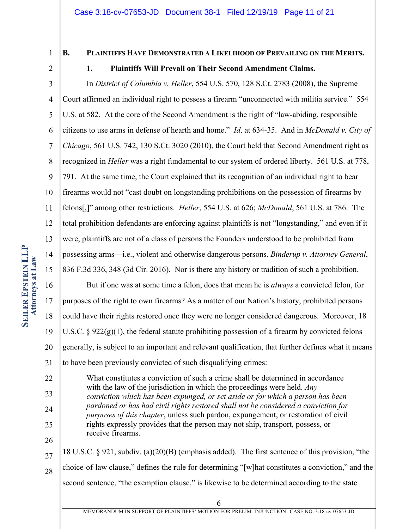## **B. PLAINTIFFS HAVE DEMONSTRATED A LIKELIHOOD OF PREVAILING ON THE MERITS.**

2

## **1. Plaintiffs Will Prevail on Their Second Amendment Claims.**

3 4 5 6 7 8 9 10 11 12 13 14 15 In *District of Columbia v. Heller*, 554 U.S. 570, 128 S.Ct. 2783 (2008), the Supreme Court affirmed an individual right to possess a firearm "unconnected with militia service." 554 U.S. at 582. At the core of the Second Amendment is the right of "law-abiding, responsible citizens to use arms in defense of hearth and home." *Id*. at 634-35. And in *McDonald v. City of Chicago*, 561 U.S. 742, 130 S.Ct. 3020 (2010), the Court held that Second Amendment right as recognized in *Heller* was a right fundamental to our system of ordered liberty. 561 U.S. at 778, 791. At the same time, the Court explained that its recognition of an individual right to bear firearms would not "cast doubt on longstanding prohibitions on the possession of firearms by felons[,]" among other restrictions. *Heller*, 554 U.S. at 626; *McDonald*, 561 U.S. at 786. The total prohibition defendants are enforcing against plaintiffs is not "longstanding," and even if it were, plaintiffs are not of a class of persons the Founders understood to be prohibited from possessing arms—i.e., violent and otherwise dangerous persons. *Binderup v. Attorney General*, 836 F.3d 336, 348 (3d Cir. 2016). Nor is there any history or tradition of such a prohibition.

16 17 18 19 20 21 But if one was at some time a felon, does that mean he is *always* a convicted felon, for purposes of the right to own firearms? As a matter of our Nation's history, prohibited persons could have their rights restored once they were no longer considered dangerous. Moreover, 18 U.S.C.  $\S 922(g)(1)$ , the federal statute prohibiting possession of a firearm by convicted felons generally, is subject to an important and relevant qualification, that further defines what it means to have been previously convicted of such disqualifying crimes:

22 23 24 25 What constitutes a conviction of such a crime shall be determined in accordance with the law of the jurisdiction in which the proceedings were held. *Any conviction which has been expunged, or set aside or for which a person has been pardoned or has had civil rights restored shall not be considered a conviction for purposes of this chapter*, unless such pardon, expungement, or restoration of civil rights expressly provides that the person may not ship, transport, possess, or receive firearms.

27 28 18 U.S.C. § 921, subdiv. (a)(20)(B) (emphasis added). The first sentence of this provision, "the choice-of-law clause," defines the rule for determining "[w]hat constitutes a conviction," and the second sentence, "the exemption clause," is likewise to be determined according to the state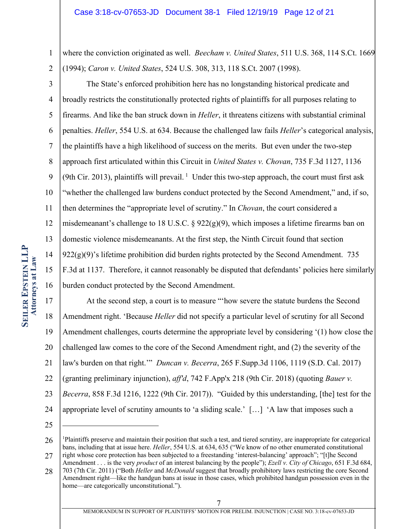1 2 where the conviction originated as well. *Beecham v. United States*, 511 U.S. 368, 114 S.Ct. 1669 (1994); *Caron v. United States*, 524 U.S. 308, 313, 118 S.Ct. 2007 (1998).

3 4 5 6 7 8 9 10 11 12 13 14 15 16 The State's enforced prohibition here has no longstanding historical predicate and broadly restricts the constitutionally protected rights of plaintiffs for all purposes relating to firearms. And like the ban struck down in *Heller*, it threatens citizens with substantial criminal penalties. *Heller*, 554 U.S. at 634. Because the challenged law fails *Heller*'s categorical analysis, the plaintiffs have a high likelihood of success on the merits. But even under the two-step approach first articulated within this Circuit in *United States v. Chovan*, 735 F.3d 1127, 1136 (9th Cir. 2013), plaintiffs will prevail.  $1$  Under this two-step approach, the court must first ask "whether the challenged law burdens conduct protected by the Second Amendment," and, if so, then determines the "appropriate level of scrutiny." In *Chovan*, the court considered a misdemeanant's challenge to 18 U.S.C. §  $922(g)(9)$ , which imposes a lifetime firearms ban on domestic violence misdemeanants. At the first step, the Ninth Circuit found that section  $922(g)(9)'$ 's lifetime prohibition did burden rights protected by the Second Amendment. 735 F.3d at 1137. Therefore, it cannot reasonably be disputed that defendants' policies here similarly burden conduct protected by the Second Amendment.

17 18 19 20 21 22 23 24 At the second step, a court is to measure "'how severe the statute burdens the Second Amendment right. 'Because *Heller* did not specify a particular level of scrutiny for all Second Amendment challenges, courts determine the appropriate level by considering '(1) how close the challenged law comes to the core of the Second Amendment right, and (2) the severity of the law's burden on that right.'" *Duncan v. Becerra*, 265 F.Supp.3d 1106, 1119 (S.D. Cal. 2017) (granting preliminary injunction), *aff'd*, 742 F.App'x 218 (9th Cir. 2018) (quoting *Bauer v. Becerra*, 858 F.3d 1216, 1222 (9th Cir. 2017)). "Guided by this understanding, [the] test for the appropriate level of scrutiny amounts to 'a sliding scale.' […] 'A law that imposes such a

<sup>26</sup> <sup>1</sup>Plaintiffs preserve and maintain their position that such a test, and tiered scrutiny, are inappropriate for categorical bans, including that at issue here. *Heller*, 554 U.S. at 634, 635 ("We know of no other enumerated constitutional

<sup>27</sup> right whose core protection has been subjected to a freestanding 'interest-balancing' approach"; "[t]he Second Amendment . . . is the very *product* of an interest balancing by the people"); *Ezell v. City of Chicago*, 651 F.3d 684,

<sup>28</sup> 703 (7th Cir. 2011) ("Both *Heller* and *McDonald* suggest that broadly prohibitory laws restricting the core Second Amendment right—like the handgun bans at issue in those cases, which prohibited handgun possession even in the home—are categorically unconstitutional.").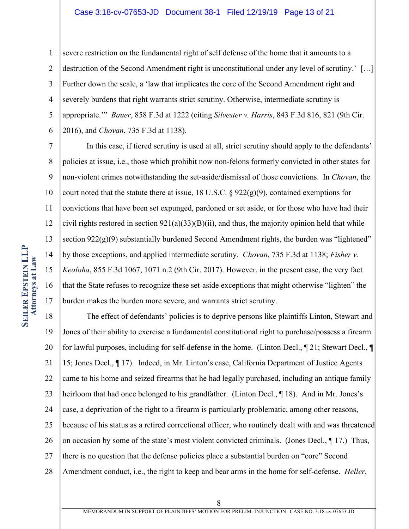#### Case 3:18-cv-07653-JD Document 38-1 Filed 12/19/19 Page 13 of 21

1 2 3 4 5 6 severe restriction on the fundamental right of self defense of the home that it amounts to a destruction of the Second Amendment right is unconstitutional under any level of scrutiny.' […] Further down the scale, a 'law that implicates the core of the Second Amendment right and severely burdens that right warrants strict scrutiny. Otherwise, intermediate scrutiny is appropriate.'" *Bauer*, 858 F.3d at 1222 (citing *Silvester v. Harris*, 843 F.3d 816, 821 (9th Cir. 2016), and *Chovan*, 735 F.3d at 1138).

7 8 9 10 11 12 13 14 15 16 17 In this case, if tiered scrutiny is used at all, strict scrutiny should apply to the defendants' policies at issue, i.e., those which prohibit now non-felons formerly convicted in other states for non-violent crimes notwithstanding the set-aside/dismissal of those convictions. In *Chovan*, the court noted that the statute there at issue, 18 U.S.C.  $\S 922(g)(9)$ , contained exemptions for convictions that have been set expunged, pardoned or set aside, or for those who have had their civil rights restored in section  $921(a)(33)(B)(ii)$ , and thus, the majority opinion held that while section 922(g)(9) substantially burdened Second Amendment rights, the burden was "lightened" by those exceptions, and applied intermediate scrutiny. *Chovan*, 735 F.3d at 1138; *Fisher v. Kealoha*, 855 F.3d 1067, 1071 n.2 (9th Cir. 2017). However, in the present case, the very fact that the State refuses to recognize these set-aside exceptions that might otherwise "lighten" the burden makes the burden more severe, and warrants strict scrutiny.

18 19 20 21 22 23 24 25 26 27 28 The effect of defendants' policies is to deprive persons like plaintiffs Linton, Stewart and Jones of their ability to exercise a fundamental constitutional right to purchase/possess a firearm for lawful purposes, including for self-defense in the home. (Linton Decl., ¶ 21; Stewart Decl., ¶ 15; Jones Decl., ¶ 17). Indeed, in Mr. Linton's case, California Department of Justice Agents came to his home and seized firearms that he had legally purchased, including an antique family heirloom that had once belonged to his grandfather. (Linton Decl., ¶ 18). And in Mr. Jones's case, a deprivation of the right to a firearm is particularly problematic, among other reasons, because of his status as a retired correctional officer, who routinely dealt with and was threatened on occasion by some of the state's most violent convicted criminals. (Jones Decl., ¶ 17.) Thus, there is no question that the defense policies place a substantial burden on "core" Second Amendment conduct, i.e., the right to keep and bear arms in the home for self-defense. *Heller*,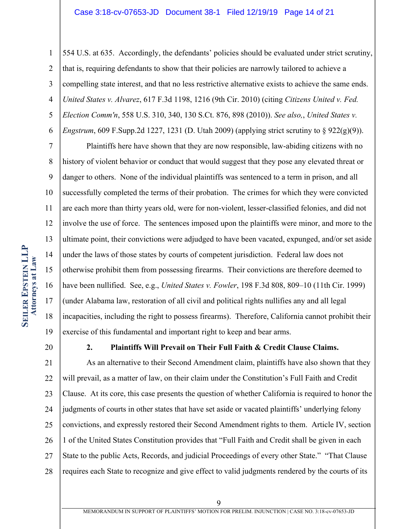#### Case 3:18-cv-07653-JD Document 38-1 Filed 12/19/19 Page 14 of 21

1 2 3 4 5 6 554 U.S. at 635. Accordingly, the defendants' policies should be evaluated under strict scrutiny, that is, requiring defendants to show that their policies are narrowly tailored to achieve a compelling state interest, and that no less restrictive alternative exists to achieve the same ends. *United States v. Alvarez*, 617 F.3d 1198, 1216 (9th Cir. 2010) (citing *Citizens United v. Fed. Election Comm'n*, 558 U.S. 310, 340, 130 S.Ct. 876, 898 (2010)). *See also,*, *United States v. Engstrum*, 609 F.Supp.2d 1227, 1231 (D. Utah 2009) (applying strict scrutiny to § 922(g)(9)).

7 8 9 10 11 12 13 14 15 16 17 18 19 Plaintiffs here have shown that they are now responsible, law-abiding citizens with no history of violent behavior or conduct that would suggest that they pose any elevated threat or danger to others. None of the individual plaintiffs was sentenced to a term in prison, and all successfully completed the terms of their probation. The crimes for which they were convicted are each more than thirty years old, were for non-violent, lesser-classified felonies, and did not involve the use of force. The sentences imposed upon the plaintiffs were minor, and more to the ultimate point, their convictions were adjudged to have been vacated, expunged, and/or set aside under the laws of those states by courts of competent jurisdiction. Federal law does not otherwise prohibit them from possessing firearms. Their convictions are therefore deemed to have been nullified. See, e.g., *United States v. Fowler*, 198 F.3d 808, 809–10 (11th Cir. 1999) (under Alabama law, restoration of all civil and political rights nullifies any and all legal incapacities, including the right to possess firearms). Therefore, California cannot prohibit their exercise of this fundamental and important right to keep and bear arms.

20

#### **2. Plaintiffs Will Prevail on Their Full Faith & Credit Clause Claims.**

21 22 23 24 25 26 27 28 As an alternative to their Second Amendment claim, plaintiffs have also shown that they will prevail, as a matter of law, on their claim under the Constitution's Full Faith and Credit Clause. At its core, this case presents the question of whether California is required to honor the judgments of courts in other states that have set aside or vacated plaintiffs' underlying felony convictions, and expressly restored their Second Amendment rights to them. Article IV, section 1 of the United States Constitution provides that "Full Faith and Credit shall be given in each State to the public Acts, Records, and judicial Proceedings of every other State." "That Clause requires each State to recognize and give effect to valid judgments rendered by the courts of its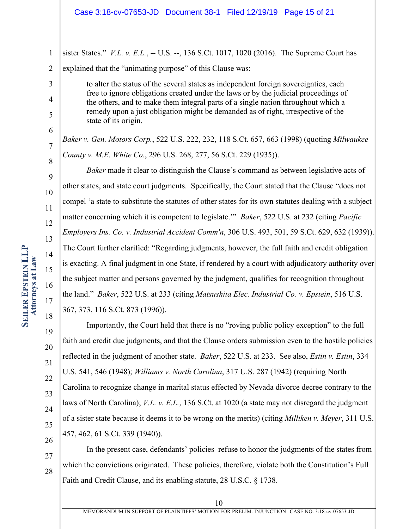#### Case 3:18-cv-07653-JD Document 38-1 Filed 12/19/19 Page 15 of 21

1 2 sister States." *V.L. v. E.L.*, -- U.S. --, 136 S.Ct. 1017, 1020 (2016). The Supreme Court has explained that the "animating purpose" of this Clause was:

> to alter the status of the several states as independent foreign sovereignties, each free to ignore obligations created under the laws or by the judicial proceedings of the others, and to make them integral parts of a single nation throughout which a remedy upon a just obligation might be demanded as of right, irrespective of the state of its origin.

*Baker v. Gen. Motors Corp.*, 522 U.S. 222, 232, 118 S.Ct. 657, 663 (1998) (quoting *Milwaukee County v. M.E. White Co.*, 296 U.S. 268, 277, 56 S.Ct. 229 (1935)).

*Baker* made it clear to distinguish the Clause's command as between legislative acts of other states, and state court judgments. Specifically, the Court stated that the Clause "does not compel 'a state to substitute the statutes of other states for its own statutes dealing with a subject matter concerning which it is competent to legislate.'" *Baker*, 522 U.S. at 232 (citing *Pacific Employers Ins. Co. v. Industrial Accident Comm'n*, 306 U.S. 493, 501, 59 S.Ct. 629, 632 (1939)). The Court further clarified: "Regarding judgments, however, the full faith and credit obligation is exacting. A final judgment in one State, if rendered by a court with adjudicatory authority over the subject matter and persons governed by the judgment, qualifies for recognition throughout the land." *Baker*, 522 U.S. at 233 (citing *Matsushita Elec. Industrial Co. v. Epstein*, 516 U.S. 367, 373, 116 S.Ct. 873 (1996)).

Importantly, the Court held that there is no "roving public policy exception" to the full faith and credit due judgments, and that the Clause orders submission even to the hostile policies reflected in the judgment of another state. *Baker*, 522 U.S. at 233. See also, *Estin v. Estin*, 334 U.S. 541, 546 (1948); *Williams v. North Carolina*, 317 U.S. 287 (1942) (requiring North Carolina to recognize change in marital status effected by Nevada divorce decree contrary to the laws of North Carolina); *V.L. v. E.L.*, 136 S.Ct. at 1020 (a state may not disregard the judgment of a sister state because it deems it to be wrong on the merits) (citing *Milliken v. Meyer*, 311 U.S. 457, 462, 61 S.Ct. 339 (1940)).

27 28 In the present case, defendants' policies refuse to honor the judgments of the states from which the convictions originated. These policies, therefore, violate both the Constitution's Full Faith and Credit Clause, and its enabling statute, 28 U.S.C. § 1738.

3

4

5

6

7

8

9

10

11

12

13

14

15

16

17

18

19

20

21

22

23

24

25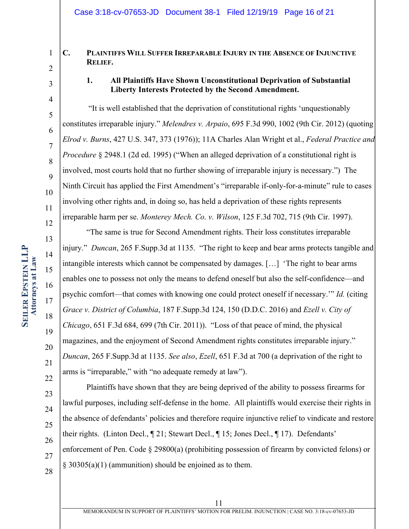## **C. PLAINTIFFS WILL SUFFER IRREPARABLE INJURY IN THE ABSENCE OF INJUNCTIVE RELIEF.**

3

1

2

4

5

6

7

8

 $\overline{Q}$ 

10

11

12

13

14

15

16

17

18

19

20

21

22

23

24

25

26

27

28

## **1. All Plaintiffs Have Shown Unconstitutional Deprivation of Substantial Liberty Interests Protected by the Second Amendment.**

"It is well established that the deprivation of constitutional rights 'unquestionably constitutes irreparable injury." *Melendres v. Arpaio*, 695 F.3d 990, 1002 (9th Cir. 2012) (quoting *Elrod v. Burns*, 427 U.S. 347, 373 (1976)); 11A Charles Alan Wright et al., *Federal Practice and Procedure* § 2948.1 (2d ed. 1995) ("When an alleged deprivation of a constitutional right is involved, most courts hold that no further showing of irreparable injury is necessary.") The Ninth Circuit has applied the First Amendment's "irreparable if-only-for-a-minute" rule to cases involving other rights and, in doing so, has held a deprivation of these rights represents irreparable harm per se. *Monterey Mech. Co. v. Wilson*, 125 F.3d 702, 715 (9th Cir. 1997).

"The same is true for Second Amendment rights. Their loss constitutes irreparable injury." *Duncan*, 265 F.Supp.3d at 1135. "The right to keep and bear arms protects tangible and intangible interests which cannot be compensated by damages. […] 'The right to bear arms enables one to possess not only the means to defend oneself but also the self-confidence—and psychic comfort—that comes with knowing one could protect oneself if necessary.'" *Id.* (citing *Grace v. District of Columbia*, 187 F.Supp.3d 124, 150 (D.D.C. 2016) and *Ezell v. City of Chicago*, 651 F.3d 684, 699 (7th Cir. 2011)). "Loss of that peace of mind, the physical magazines, and the enjoyment of Second Amendment rights constitutes irreparable injury." *Duncan*, 265 F.Supp.3d at 1135. *See also*, *Ezell*, 651 F.3d at 700 (a deprivation of the right to arms is "irreparable," with "no adequate remedy at law").

Plaintiffs have shown that they are being deprived of the ability to possess firearms for lawful purposes, including self-defense in the home. All plaintiffs would exercise their rights in the absence of defendants' policies and therefore require injunctive relief to vindicate and restore their rights. (Linton Decl., ¶ 21; Stewart Decl., ¶ 15; Jones Decl., ¶ 17). Defendants' enforcement of Pen. Code  $\S 29800(a)$  (prohibiting possession of firearm by convicted felons) or § 30305(a)(1) (ammunition) should be enjoined as to them.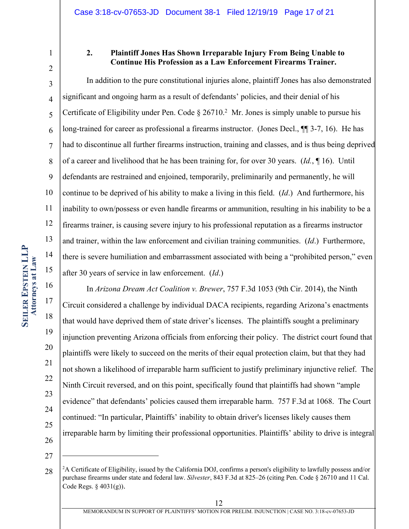1

## **2. Plaintiff Jones Has Shown Irreparable Injury From Being Unable to Continue His Profession as a Law Enforcement Firearms Trainer.**

3 4 5 6 7 8 9 10 11 12 13 14 15 In addition to the pure constitutional injuries alone, plaintiff Jones has also demonstrated significant and ongoing harm as a result of defendants' policies, and their denial of his Certificate of Eligibility under Pen. Code  $\S 26710$ <sup>2</sup> Mr. Jones is simply unable to pursue his long-trained for career as professional a firearms instructor. (Jones Decl., ¶¶ 3-7, 16). He has had to discontinue all further firearms instruction, training and classes, and is thus being deprived of a career and livelihood that he has been training for, for over 30 years. (*Id.*, ¶ 16). Until defendants are restrained and enjoined, temporarily, preliminarily and permanently, he will continue to be deprived of his ability to make a living in this field. (*Id*.) And furthermore, his inability to own/possess or even handle firearms or ammunition, resulting in his inability to be a firearms trainer, is causing severe injury to his professional reputation as a firearms instructor and trainer, within the law enforcement and civilian training communities. (*Id*.) Furthermore, there is severe humiliation and embarrassment associated with being a "prohibited person," even after 30 years of service in law enforcement. (*Id*.)

16 17 18 19 20 21 22 23 24 25 26 In *Arizona Dream Act Coalition v. Brewer*, 757 F.3d 1053 (9th Cir. 2014), the Ninth Circuit considered a challenge by individual DACA recipients, regarding Arizona's enactments that would have deprived them of state driver's licenses. The plaintiffs sought a preliminary injunction preventing Arizona officials from enforcing their policy. The district court found that plaintiffs were likely to succeed on the merits of their equal protection claim, but that they had not shown a likelihood of irreparable harm sufficient to justify preliminary injunctive relief. The Ninth Circuit reversed, and on this point, specifically found that plaintiffs had shown "ample evidence" that defendants' policies caused them irreparable harm. 757 F.3d at 1068. The Court continued: "In particular, Plaintiffs' inability to obtain driver's licenses likely causes them irreparable harm by limiting their professional opportunities. Plaintiffs' ability to drive is integral

27

<sup>28</sup> <sup>2</sup>A Certificate of Eligibility, issued by the California DOJ, confirms a person's eligibility to lawfully possess and/or purchase firearms under state and federal law. *Silvester*, 843 F.3d at 825–26 (citing Pen. Code § 26710 and 11 Cal. Code Regs. § 4031(g)).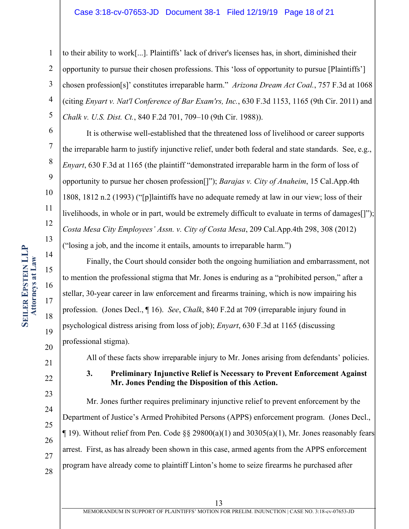#### Case 3:18-cv-07653-JD Document 38-1 Filed 12/19/19 Page 18 of 21

1 2 3 4 5 to their ability to work[...]. Plaintiffs' lack of driver's licenses has, in short, diminished their opportunity to pursue their chosen professions. This 'loss of opportunity to pursue [Plaintiffs'] chosen profession[s]' constitutes irreparable harm." *Arizona Dream Act Coal.*, 757 F.3d at 1068 (citing *Enyart v. Nat'l Conference of Bar Exam'rs, Inc.*, 630 F.3d 1153, 1165 (9th Cir. 2011) and *Chalk v. U.S. Dist. Ct.*, 840 F.2d 701, 709–10 (9th Cir. 1988)).

It is otherwise well-established that the threatened loss of livelihood or career supports the irreparable harm to justify injunctive relief, under both federal and state standards. See, e.g., *Enyart*, 630 F.3d at 1165 (the plaintiff "demonstrated irreparable harm in the form of loss of opportunity to pursue her chosen profession[]"); *Barajas v. City of Anaheim*, 15 Cal.App.4th 1808, 1812 n.2 (1993) ("[p]laintiffs have no adequate remedy at law in our view; loss of their livelihoods, in whole or in part, would be extremely difficult to evaluate in terms of damages[]"); *Costa Mesa City Employees' Assn. v. City of Costa Mesa*, 209 Cal.App.4th 298, 308 (2012) ("losing a job, and the income it entails, amounts to irreparable harm.")

Finally, the Court should consider both the ongoing humiliation and embarrassment, not to mention the professional stigma that Mr. Jones is enduring as a "prohibited person," after a stellar, 30-year career in law enforcement and firearms training, which is now impairing his profession. (Jones Decl., ¶ 16). *See*, *Chalk*, 840 F.2d at 709 (irreparable injury found in psychological distress arising from loss of job); *Enyart*, 630 F.3d at 1165 (discussing professional stigma).

All of these facts show irreparable injury to Mr. Jones arising from defendants' policies.

**3. Preliminary Injunctive Relief is Necessary to Prevent Enforcement Against Mr. Jones Pending the Disposition of this Action.**

Mr. Jones further requires preliminary injunctive relief to prevent enforcement by the Department of Justice's Armed Prohibited Persons (APPS) enforcement program. (Jones Decl.,  $\P$  19). Without relief from Pen. Code §§ 29800(a)(1) and 30305(a)(1), Mr. Jones reasonably fears arrest. First, as has already been shown in this case, armed agents from the APPS enforcement program have already come to plaintiff Linton's home to seize firearms he purchased after

6

7

8

9

10

11

12

13

14

15

16

17

18

19

20

21

22

23

24

25

26

27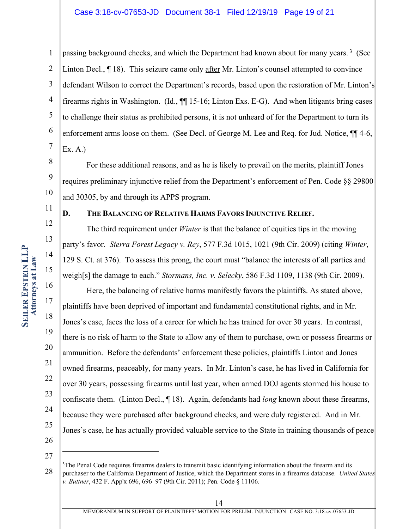#### Case 3:18-cv-07653-JD Document 38-1 Filed 12/19/19 Page 19 of 21

1 2 3 4 5 6 7 passing background checks, and which the Department had known about for many years.<sup>3</sup> (See Linton Decl.,  $\P$  18). This seizure came only after Mr. Linton's counsel attempted to convince defendant Wilson to correct the Department's records, based upon the restoration of Mr. Linton's firearms rights in Washington. (Id., ¶¶ 15-16; Linton Exs. E-G). And when litigants bring cases to challenge their status as prohibited persons, it is not unheard of for the Department to turn its enforcement arms loose on them. (See Decl. of George M. Lee and Req. for Jud. Notice,  $\P\P$  4-6, Ex. A.)

For these additional reasons, and as he is likely to prevail on the merits, plaintiff Jones requires preliminary injunctive relief from the Department's enforcement of Pen. Code §§ 29800 and 30305, by and through its APPS program.

11

8

9

10

12

13

14

15

16

17

18

19

20

21

22

23

24

25

### **D. THE BALANCING OF RELATIVE HARMS FAVORS INJUNCTIVE RELIEF.**

The third requirement under *Winter* is that the balance of equities tips in the moving party's favor. *Sierra Forest Legacy v. Rey*, 577 F.3d 1015, 1021 (9th Cir. 2009) (citing *Winter*, 129 S. Ct. at 376). To assess this prong, the court must "balance the interests of all parties and weigh[s] the damage to each." *Stormans, Inc. v. Selecky*, 586 F.3d 1109, 1138 (9th Cir. 2009).

Here, the balancing of relative harms manifestly favors the plaintiffs. As stated above, plaintiffs have been deprived of important and fundamental constitutional rights, and in Mr. Jones's case, faces the loss of a career for which he has trained for over 30 years. In contrast, there is no risk of harm to the State to allow any of them to purchase, own or possess firearms or ammunition. Before the defendants' enforcement these policies, plaintiffs Linton and Jones owned firearms, peaceably, for many years. In Mr. Linton's case, he has lived in California for over 30 years, possessing firearms until last year, when armed DOJ agents stormed his house to confiscate them. (Linton Decl., ¶ 18). Again, defendants had *long* known about these firearms, because they were purchased after background checks, and were duly registered. And in Mr. Jones's case, he has actually provided valuable service to the State in training thousands of peace

<sup>28</sup> <sup>3</sup>The Penal Code requires firearms dealers to transmit basic identifying information about the firearm and its purchaser to the California Department of Justice, which the Department stores in a firearms database. *United States v. Buttner*, 432 F. App'x 696, 696–97 (9th Cir. 2011); Pen. Code § 11106.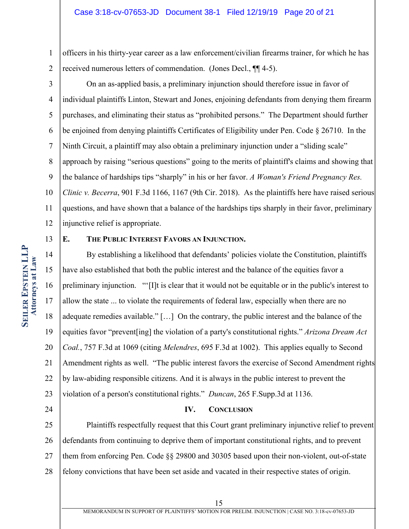1 2 officers in his thirty-year career as a law enforcement/civilian firearms trainer, for which he has received numerous letters of commendation. (Jones Decl., ¶¶ 4-5).

3 4 5 6 7 8 9 10 11 On an as-applied basis, a preliminary injunction should therefore issue in favor of individual plaintiffs Linton, Stewart and Jones, enjoining defendants from denying them firearm purchases, and eliminating their status as "prohibited persons." The Department should further be enjoined from denying plaintiffs Certificates of Eligibility under Pen. Code § 26710. In the Ninth Circuit, a plaintiff may also obtain a preliminary injunction under a "sliding scale" approach by raising "serious questions" going to the merits of plaintiff's claims and showing that the balance of hardships tips "sharply" in his or her favor. *A Woman's Friend Pregnancy Res. Clinic v. Becerra*, 901 F.3d 1166, 1167 (9th Cir. 2018). As the plaintiffs here have raised serious questions, and have shown that a balance of the hardships tips sharply in their favor, preliminary

12 injunctive relief is appropriate.

#### 13

## **E. THE PUBLIC INTEREST FAVORS AN INJUNCTION.**

14 15 16 17 18 19 20 21 22 23 By establishing a likelihood that defendants' policies violate the Constitution, plaintiffs have also established that both the public interest and the balance of the equities favor a preliminary injunction. "'[I]t is clear that it would not be equitable or in the public's interest to allow the state ... to violate the requirements of federal law, especially when there are no adequate remedies available." […] On the contrary, the public interest and the balance of the equities favor "prevent[ing] the violation of a party's constitutional rights." *Arizona Dream Act Coal.*, 757 F.3d at 1069 (citing *Melendres*, 695 F.3d at 1002). This applies equally to Second Amendment rights as well. "The public interest favors the exercise of Second Amendment rights by law-abiding responsible citizens. And it is always in the public interest to prevent the violation of a person's constitutional rights." *Duncan*, 265 F.Supp.3d at 1136.

24

## **IV. CONCLUSION**

25 26 27 28 Plaintiffs respectfully request that this Court grant preliminary injunctive relief to prevent defendants from continuing to deprive them of important constitutional rights, and to prevent them from enforcing Pen. Code §§ 29800 and 30305 based upon their non-violent, out-of-state felony convictions that have been set aside and vacated in their respective states of origin.